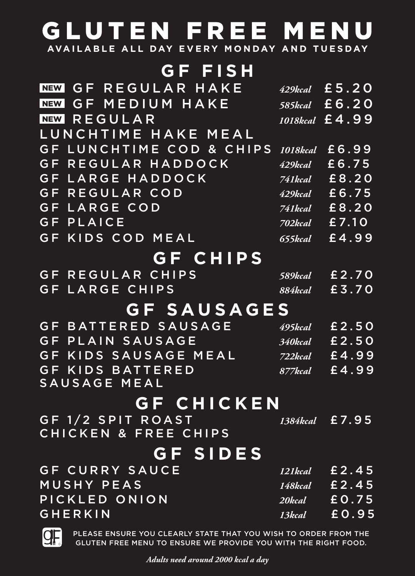## GLUTEN FREE MENU **AVAILABLE ALL DAY EVERY MONDAY AND TUESDAY**

**GF FISH**

| <b>GF REGULAR HAKE</b><br><b>NEW</b> | 429kcal               | £5.20          |
|--------------------------------------|-----------------------|----------------|
| MEDIUM HAKE<br>G F<br><b>NEW</b>     | 585kcal               | £6.20          |
| REGULAR<br>NEW                       |                       | 1018kcal £4,99 |
| LUNCHTIME HAKE MEAL                  |                       |                |
| LUNCHTIME COD & CHIPS<br><b>GF</b>   | 1018kcal              | £6.99          |
| REGULAR HADDOCK<br>G F               | 429kcal               | £6.75          |
| LARGE HADDOCK<br><b>GF</b>           | 741kcal               | £8.20          |
| REGULAR COD<br>GF                    | 429kcal               | £6.75          |
| LARGE COD<br>GF                      | 741kcal               | £8.20          |
| PLAICE<br>GF                         | 702kcal               | £7.10          |
| GF.<br>KIDS COD<br>MEAL              | 655kcal               | £4.99          |
| <b>GF CHIPS</b>                      |                       |                |
| REGULAR CHIPS<br>G F                 | <b>589kcal</b>        | £2.70          |
| LARGE CHIPS<br>G F                   | <b>884kcal</b>        | £3.70          |
| <b>GF SAUSAGES</b>                   |                       |                |
| <b>BATTERED SAUSAGE</b><br>G F       | 495kcal               | £2.50          |
| PLAIN SAUSAGE<br>$G \mathsf{F}$      | 340kcal               | £2.50          |
| KIDS SAUSAGE MEAL<br>GF.             | 722kcal               | £4.99          |
| <b>BATTERED</b><br>G F<br>KIDS       | $\overline{877}$ kcal | £4.99          |
| <b>SAUSAGE MEAL</b>                  |                       |                |
| <b>GF CHICKEN</b>                    |                       |                |
| GF 1/2 SPIT ROAST                    |                       | 1384kcal £7.95 |
| <b>CHICKEN &amp; FREE CHIPS</b>      |                       |                |
| GF SIDES                             |                       |                |
| <b>GF CURRY SAUCE</b>                | 121kcal               | £2.45          |
| MUSHY PEAS                           |                       | 148kcal £ 2.45 |
| PICKLED ONION                        | 20kcal                | £0.75          |
| GHERKIN                              | 13kcal                | £0.95          |
|                                      |                       |                |



PLEASE ENSURE YOU CLEARLY STATE THAT YOU WISH TO ORDER FROM THE GLUTEN FREE MENU TO ENSURE WE PROVIDE YOU WITH THE RIGHT FOOD.